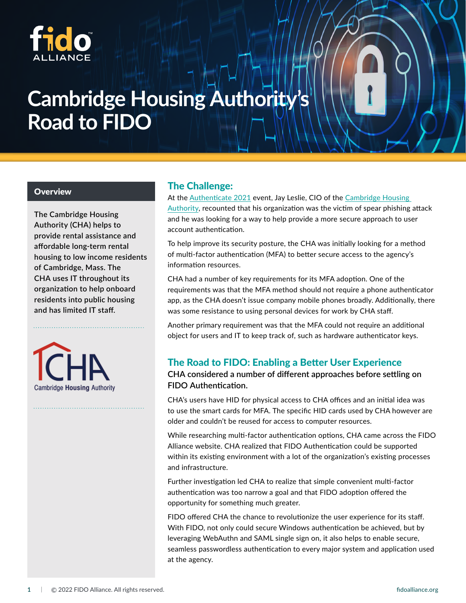

# **Cambridge Housing Authority Road to FIDO**

**The Cambridge Housing Authority (CHA) helps to provide rental assistance and affordable long-term rental housing to low income residents of Cambridge, Mass. The CHA uses IT throughout its organization to help onboard residents into public housing and has limited IT staff.**

**Cambridge Housing Authority** 

# **Overview The Challenge:**

At the [Authenticate 2021](https://authenticatecon.com/session/going-passwordless-with-fido-at-a-quasi-governmental-nonprofit-organization/) event, Jay Leslie, CIO of the Cambridge Housing [Authority,](https://cambridge-housing.org/about/) recounted that his organization was the victim of spear phishing attack and he was looking for a way to help provide a more secure approach to user account authentication.

To help improve its security posture, the CHA was initially looking for a method of multi-factor authentication (MFA) to better secure access to the agency's information resources.

CHA had a number of key requirements for its MFA adoption. One of the requirements was that the MFA method should not require a phone authenticator app, as the CHA doesn't issue company mobile phones broadly. Additionally, there was some resistance to using personal devices for work by CHA staff.

Another primary requirement was that the MFA could not require an additional object for users and IT to keep track of, such as hardware authenticator keys.

### The Road to FIDO: Enabling a Better User Experience

**CHA considered a number of different approaches before settling on FIDO Authentication.**

CHA's users have HID for physical access to CHA offices and an initial idea was to use the smart cards for MFA. The specific HID cards used by CHA however are older and couldn't be reused for access to computer resources.

While researching multi-factor authentication options, CHA came across the FIDO Alliance website. CHA realized that FIDO Authentication could be supported within its existing environment with a lot of the organization's existing processes and infrastructure.

Further investigation led CHA to realize that simple convenient multi-factor authentication was too narrow a goal and that FIDO adoption offered the opportunity for something much greater.

FIDO offered CHA the chance to revolutionize the user experience for its staff. With FIDO, not only could secure Windows authentication be achieved, but by leveraging WebAuthn and SAML single sign on, it also helps to enable secure, seamless passwordless authentication to every major system and application used at the agency.